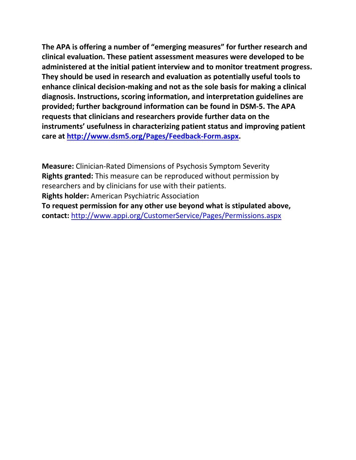**The APA is offering a number of "emerging measures" for further research and clinical evaluation. These patient assessment measures were developed to be administered at the initial patient interview and to monitor treatment progress. They should be used in research and evaluation as potentially useful tools to enhance clinical decision-making and not as the sole basis for making a clinical diagnosis. Instructions, scoring information, and interpretation guidelines are provided; further background information can be found in DSM-5. The APA requests that clinicians and researchers provide further data on the instruments' usefulness in characterizing patient status and improving patient care at [http://www.dsm5.org/Pages/Feedback-Form.aspx.](http://www.dsm5.org/Pages/Feedback-Form.aspx)**

**Measure:** Clinician-Rated Dimensions of Psychosis Symptom Severity **Rights granted:** This measure can be reproduced without permission by researchers and by clinicians for use with their patients. **Rights holder:** American Psychiatric Association **To request permission for any other use beyond what is stipulated above, contact:** <http://www.appi.org/CustomerService/Pages/Permissions.aspx>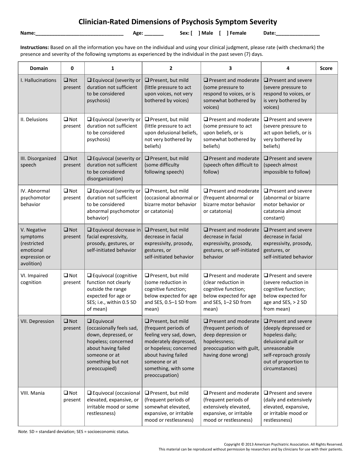## **Clinician-Rated Dimensions of Psychosis Symptom Severity**

**Name:\_\_\_\_\_\_\_\_\_\_\_\_\_\_\_\_\_\_\_\_\_\_\_\_\_\_\_\_\_\_\_\_ Age: \_\_\_\_\_\_\_ Sex: [ ] Male [ ] Female Date:\_\_\_\_\_\_\_\_\_\_\_\_\_\_\_\_**

**Instructions:** Based on all the information you have on the individual and using your clinical judgment, please rate (with checkmark) the presence and severity of the following symptoms as experienced by the individual in the past seven (7) days.

| <b>Domain</b>                                                                      | $\mathbf 0$              | 1                                                                                                                                                                       | $\overline{2}$                                                                                                                                                                                            | 3                                                                                                                                      | 4                                                                                                                                                                              | <b>Score</b> |
|------------------------------------------------------------------------------------|--------------------------|-------------------------------------------------------------------------------------------------------------------------------------------------------------------------|-----------------------------------------------------------------------------------------------------------------------------------------------------------------------------------------------------------|----------------------------------------------------------------------------------------------------------------------------------------|--------------------------------------------------------------------------------------------------------------------------------------------------------------------------------|--------------|
| I. Hallucinations                                                                  | $\Box$ Not<br>present    | $\Box$ Equivocal (severity or<br>duration not sufficient<br>to be considered<br>psychosis)                                                                              | $\Box$ Present, but mild<br>(little pressure to act<br>upon voices, not very<br>bothered by voices)                                                                                                       | $\Box$ Present and moderate<br>(some pressure to<br>respond to voices, or is<br>somewhat bothered by<br>voices)                        | $\Box$ Present and severe<br>(severe pressure to<br>respond to voices, or<br>is very bothered by<br>voices)                                                                    |              |
| II. Delusions                                                                      | $\square$ Not<br>present | $\Box$ Equivocal (severity or<br>duration not sufficient<br>to be considered<br>psychosis)                                                                              | $\Box$ Present, but mild<br>(little pressure to act<br>upon delusional beliefs,<br>not very bothered by<br>beliefs)                                                                                       | $\Box$ Present and moderate<br>(some pressure to act<br>upon beliefs, or is<br>somewhat bothered by<br>beliefs)                        | $\Box$ Present and severe<br>(severe pressure to<br>act upon beliefs, or is<br>very bothered by<br>beliefs)                                                                    |              |
| III. Disorganized<br>speech                                                        | $\square$ Not<br>present | $\Box$ Equivocal (severity or<br>duration not sufficient<br>to be considered<br>disorganization)                                                                        | $\Box$ Present, but mild<br>(some difficulty<br>following speech)                                                                                                                                         | $\Box$ Present and moderate<br>(speech often difficult to<br>follow)                                                                   | $\Box$ Present and severe<br>(speech almost<br>impossible to follow)                                                                                                           |              |
| IV. Abnormal<br>psychomotor<br>behavior                                            | $\square$ Not<br>present | $\Box$ Equivocal (severity or<br>duration not sufficient<br>to be considered<br>abnormal psychomotor<br>behavior)                                                       | $\Box$ Present, but mild<br>(occasional abnormal or<br>bizarre motor behavior<br>or catatonia)                                                                                                            | $\Box$ Present and moderate<br>(frequent abnormal or<br>bizarre motor behavior<br>or catatonia)                                        | $\Box$ Present and severe<br>(abnormal or bizarre<br>motor behavior or<br>catatonia almost<br>constant)                                                                        |              |
| V. Negative<br>symptoms<br>(restricted<br>emotional<br>expression or<br>avolition) | $\Box$ Not<br>present    | $\Box$ Equivocal decrease in<br>facial expressivity,<br>prosody, gestures, or<br>self-initiated behavior                                                                | $\Box$ Present, but mild<br>decrease in facial<br>expressivity, prosody,<br>gestures, or<br>self-initiated behavior                                                                                       | $\Box$ Present and moderate<br>decrease in facial<br>expressivity, prosody,<br>gestures, or self-initiated<br>behavior                 | $\Box$ Present and severe<br>decrease in facial<br>expressivity, prosody,<br>gestures, or<br>self-initiated behavior                                                           |              |
| VI. Impaired<br>cognition                                                          | $\square$ Not<br>present | <b>Equivocal (cognitive</b><br>function not clearly<br>outside the range<br>expected for age or<br>SES; i.e., within 0.5 SD<br>of mean)                                 | $\Box$ Present, but mild<br>(some reduction in<br>cognitive function;<br>below expected for age<br>and SES, 0.5-1 SD from<br>mean)                                                                        | $\Box$ Present and moderate<br>(clear reduction in<br>cognitive function;<br>below expected for age<br>and SES, 1-2 SD from<br>mean)   | $\Box$ Present and severe<br>(severe reduction in<br>cognitive function;<br>below expected for<br>age and SES, > 2 SD<br>from mean)                                            |              |
| VII. Depression                                                                    | $\square$ Not<br>present | $\Box$ Equivocal<br>(occasionally feels sad,<br>down, depressed, or<br>hopeless; concerned<br>about having failed<br>someone or at<br>something but not<br>preoccupied) | Present, but mild<br>(frequent periods of<br>feeling very sad, down,<br>moderately depressed,<br>or hopeless; concerned<br>about having failed<br>someone or at<br>something, with some<br>preoccupation) | Present and moderate<br>(frequent periods of<br>deep depression or<br>hopelessness;<br>preoccupation with guilt,<br>having done wrong) | $\Box$ Present and severe<br>(deeply depressed or<br>hopeless daily;<br>delusional guilt or<br>unreasonable<br>self-reproach grossly<br>out of proportion to<br>circumstances) |              |
| VIII. Mania                                                                        | $\square$ Not<br>present | $\Box$ Equivocal (occasional<br>elevated, expansive, or<br>irritable mood or some<br>restlessness)                                                                      | $\Box$ Present, but mild<br>(frequent periods of<br>somewhat elevated,<br>expansive, or irritable<br>mood or restlessness)                                                                                | $\Box$ Present and moderate<br>(frequent periods of<br>extensively elevated,<br>expansive, or irritable<br>mood or restlessness)       | $\Box$ Present and severe<br>(daily and extensively<br>elevated, expansive,<br>or irritable mood or<br>restlessness)                                                           |              |

*Note.* SD = standard deviation; SES = socioeconomic status.